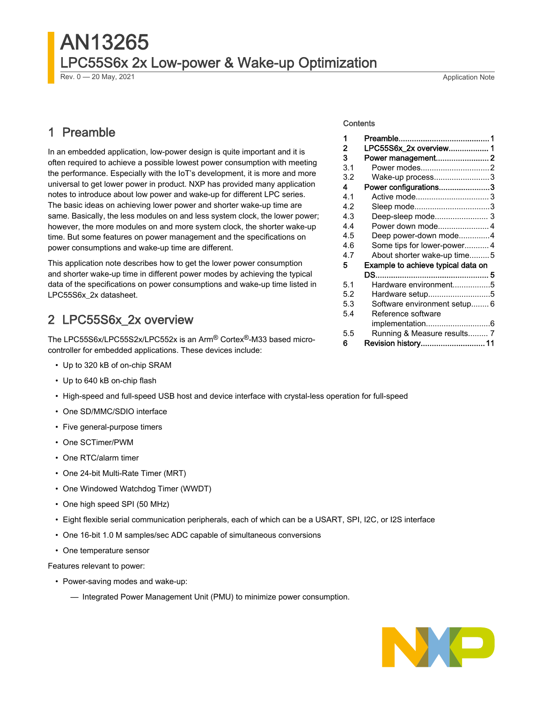## AN13265 LPC55S6x 2x Low-power & Wake-up Optimization

Rev. 0 — 20 May, 2021 2012 20:30 20:40 20:40 20:40 20:40 20:40 20:40 20:40 20:40 20:40 20:40 20:40 20:40 20:40

### 1 Preamble

In an embedded application, low-power design is quite important and it is often required to achieve a possible lowest power consumption with meeting the performance. Especially with the IoT's development, it is more and more universal to get lower power in product. NXP has provided many application notes to introduce about low power and wake-up for different LPC series. The basic ideas on achieving lower power and shorter wake-up time are same. Basically, the less modules on and less system clock, the lower power; however, the more modules on and more system clock, the shorter wake-up time. But some features on power management and the specifications on power consumptions and wake-up time are different.

This application note describes how to get the lower power consumption and shorter wake-up time in different power modes by achieving the typical data of the specifications on power consumptions and wake-up time listed in LPC55S6x\_2x datasheet.

### 2 LPC55S6x\_2x overview

The LPC55S6x/LPC55S2x/LPC552x is an Arm® Cortex®-M33 based microcontroller for embedded applications. These devices include:

- Up to 320 kB of on-chip SRAM
- Up to 640 kB on-chip flash
- High-speed and full-speed USB host and device interface with crystal-less operation for full-speed
- One SD/MMC/SDIO interface
- Five general-purpose timers
- One SCTimer/PWM
- One RTC/alarm timer
- One 24-bit Multi-Rate Timer (MRT)
- One Windowed Watchdog Timer (WWDT)
- One high speed SPI (50 MHz)
- Eight flexible serial communication peripherals, each of which can be a USART, SPI, I2C, or I2S interface
- One 16-bit 1.0 M samples/sec ADC capable of simultaneous conversions
- One temperature sensor

Features relevant to power:

- Power-saving modes and wake-up:
	- Integrated Power Management Unit (PMU) to minimize power consumption.

#### **Contents**

| 1   |                                    |  |
|-----|------------------------------------|--|
| 2   | LPC55S6x_2x overview 1             |  |
| 3   | Power management2                  |  |
| 3.1 | Power modes2                       |  |
| 3.2 | Wake-up process3                   |  |
| 4   | Power configurations3              |  |
| 4.1 |                                    |  |
| 4.2 | Sleep mode3                        |  |
| 4.3 | Deep-sleep mode 3                  |  |
| 4.4 | Power down mode4                   |  |
| 4.5 | Deep power-down mode4              |  |
| 4.6 | Some tips for lower-power 4        |  |
| 4.7 | About shorter wake-up time5        |  |
| 5   | Example to achieve typical data on |  |
|     |                                    |  |
| 5.1 | Hardware environment5              |  |
| 5.2 | Hardware setup5                    |  |
| 5.3 | Software environment setup 6       |  |
| 5.4 | Reference software                 |  |
|     |                                    |  |
| 5.5 | Running & Measure results 7        |  |
| 6   | Revision history 11                |  |

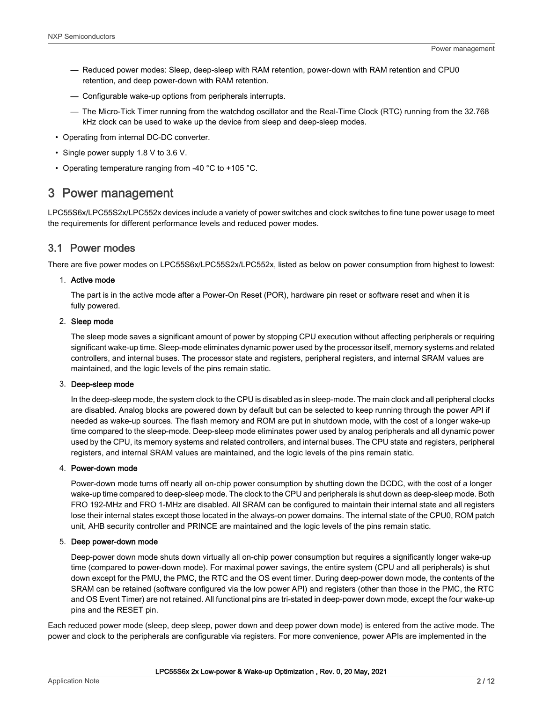- <span id="page-1-0"></span>— Reduced power modes: Sleep, deep-sleep with RAM retention, power-down with RAM retention and CPU0 retention, and deep power-down with RAM retention.
- Configurable wake-up options from peripherals interrupts.
- The Micro-Tick Timer running from the watchdog oscillator and the Real-Time Clock (RTC) running from the 32.768 kHz clock can be used to wake up the device from sleep and deep-sleep modes.
- Operating from internal DC-DC converter.
- Single power supply 1.8 V to 3.6 V.
- Operating temperature ranging from -40 °C to +105 °C.

### 3 Power management

LPC55S6x/LPC55S2x/LPC552x devices include a variety of power switches and clock switches to fine tune power usage to meet the requirements for different performance levels and reduced power modes.

### 3.1 Power modes

There are five power modes on LPC55S6x/LPC55S2x/LPC552x, listed as below on power consumption from highest to lowest:

#### 1. Active mode

The part is in the active mode after a Power-On Reset (POR), hardware pin reset or software reset and when it is fully powered.

#### 2. Sleep mode

The sleep mode saves a significant amount of power by stopping CPU execution without affecting peripherals or requiring significant wake-up time. Sleep-mode eliminates dynamic power used by the processor itself, memory systems and related controllers, and internal buses. The processor state and registers, peripheral registers, and internal SRAM values are maintained, and the logic levels of the pins remain static.

#### 3. Deep-sleep mode

In the deep-sleep mode, the system clock to the CPU is disabled as in sleep-mode. The main clock and all peripheral clocks are disabled. Analog blocks are powered down by default but can be selected to keep running through the power API if needed as wake-up sources. The flash memory and ROM are put in shutdown mode, with the cost of a longer wake-up time compared to the sleep-mode. Deep-sleep mode eliminates power used by analog peripherals and all dynamic power used by the CPU, its memory systems and related controllers, and internal buses. The CPU state and registers, peripheral registers, and internal SRAM values are maintained, and the logic levels of the pins remain static.

### 4. Power-down mode

Power-down mode turns off nearly all on-chip power consumption by shutting down the DCDC, with the cost of a longer wake-up time compared to deep-sleep mode. The clock to the CPU and peripherals is shut down as deep-sleep mode. Both FRO 192-MHz and FRO 1-MHz are disabled. All SRAM can be configured to maintain their internal state and all registers lose their internal states except those located in the always-on power domains. The internal state of the CPU0, ROM patch unit, AHB security controller and PRINCE are maintained and the logic levels of the pins remain static.

#### 5. Deep power-down mode

Deep-power down mode shuts down virtually all on-chip power consumption but requires a significantly longer wake-up time (compared to power-down mode). For maximal power savings, the entire system (CPU and all peripherals) is shut down except for the PMU, the PMC, the RTC and the OS event timer. During deep-power down mode, the contents of the SRAM can be retained (software configured via the low power API) and registers (other than those in the PMC, the RTC and OS Event Timer) are not retained. All functional pins are tri-stated in deep-power down mode, except the four wake-up pins and the RESET pin.

Each reduced power mode (sleep, deep sleep, power down and deep power down mode) is entered from the active mode. The power and clock to the peripherals are configurable via registers. For more convenience, power APIs are implemented in the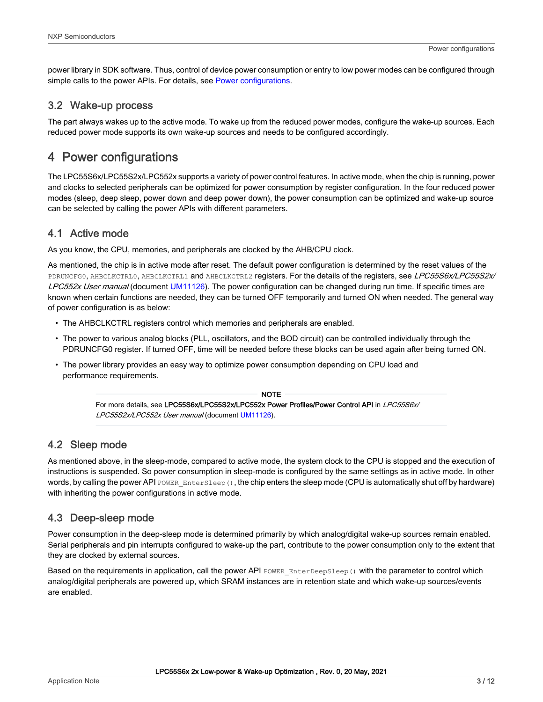<span id="page-2-0"></span>power library in SDK software. Thus, control of device power consumption or entry to low power modes can be configured through simple calls to the power APIs. For details, see Power configurations.

### 3.2 Wake-up process

The part always wakes up to the active mode. To wake up from the reduced power modes, configure the wake-up sources. Each reduced power mode supports its own wake-up sources and needs to be configured accordingly.

### 4 Power configurations

The LPC55S6x/LPC55S2x/LPC552x supports a variety of power control features. In active mode, when the chip is running, power and clocks to selected peripherals can be optimized for power consumption by register configuration. In the four reduced power modes (sleep, deep sleep, power down and deep power down), the power consumption can be optimized and wake-up source can be selected by calling the power APIs with different parameters.

### 4.1 Active mode

As you know, the CPU, memories, and peripherals are clocked by the AHB/CPU clock.

As mentioned, the chip is in active mode after reset. The default power configuration is determined by the reset values of the PDRUNCFG0, AHBCLKCTRL0, AHBCLKCTRL1 and AHBCLKCTRL2 registers. For the details of the registers, see LPC55S6x/LPC55S2x/ LPC552x User manual (document [UM11126](https://www.nxp.com/webapp/Download?colCode=UM11126)). The power configuration can be changed during run time. If specific times are known when certain functions are needed, they can be turned OFF temporarily and turned ON when needed. The general way of power configuration is as below:

- The AHBCLKCTRL registers control which memories and peripherals are enabled.
- The power to various analog blocks (PLL, oscillators, and the BOD circuit) can be controlled individually through the PDRUNCFG0 register. If turned OFF, time will be needed before these blocks can be used again after being turned ON.
- The power library provides an easy way to optimize power consumption depending on CPU load and performance requirements.

For more details, see LPC55S6x/LPC55S2x/LPC552x Power Profiles/Power Control API in LPC55S6x/ LPC55S2x/LPC552x User manual (document [UM11126\)](https://www.nxp.com/webapp/Download?colCode=UM11126). NOTE

### 4.2 Sleep mode

As mentioned above, in the sleep-mode, compared to active mode, the system clock to the CPU is stopped and the execution of instructions is suspended. So power consumption in sleep-mode is configured by the same settings as in active mode. In other words, by calling the power API POWER EnterSleep(), the chip enters the sleep mode (CPU is automatically shut off by hardware) with inheriting the power configurations in active mode.

### 4.3 Deep-sleep mode

Power consumption in the deep-sleep mode is determined primarily by which analog/digital wake-up sources remain enabled. Serial peripherals and pin interrupts configured to wake-up the part, contribute to the power consumption only to the extent that they are clocked by external sources.

Based on the requirements in application, call the power API POWER EnterDeepSleep() with the parameter to control which analog/digital peripherals are powered up, which SRAM instances are in retention state and which wake-up sources/events are enabled.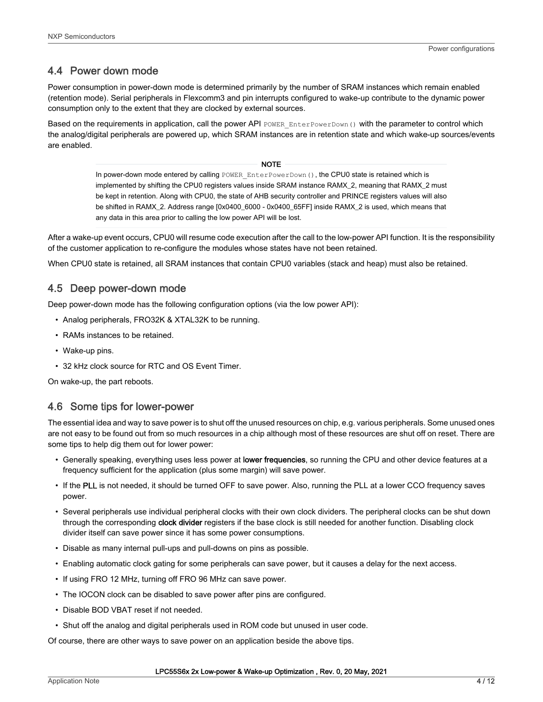### <span id="page-3-0"></span>4.4 Power down mode

Power consumption in power-down mode is determined primarily by the number of SRAM instances which remain enabled (retention mode). Serial peripherals in Flexcomm3 and pin interrupts configured to wake-up contribute to the dynamic power consumption only to the extent that they are clocked by external sources.

Based on the requirements in application, call the power API POWER EnterPowerDown() with the parameter to control which the analog/digital peripherals are powered up, which SRAM instances are in retention state and which wake-up sources/events are enabled.

#### **NOTE**

In power-down mode entered by calling POWER\_EnterPowerDown(), the CPU0 state is retained which is implemented by shifting the CPU0 registers values inside SRAM instance RAMX\_2, meaning that RAMX\_2 must be kept in retention. Along with CPU0, the state of AHB security controller and PRINCE registers values will also be shifted in RAMX\_2. Address range [0x0400\_6000 - 0x0400\_65FF] inside RAMX\_2 is used, which means that any data in this area prior to calling the low power API will be lost.

After a wake-up event occurs, CPU0 will resume code execution after the call to the low-power API function. It is the responsibility of the customer application to re-configure the modules whose states have not been retained.

When CPU0 state is retained, all SRAM instances that contain CPU0 variables (stack and heap) must also be retained.

### 4.5 Deep power-down mode

Deep power-down mode has the following configuration options (via the low power API):

- Analog peripherals, FRO32K & XTAL32K to be running.
- RAMs instances to be retained.
- Wake-up pins.
- 32 kHz clock source for RTC and OS Event Timer.

On wake-up, the part reboots.

### 4.6 Some tips for lower-power

The essential idea and way to save power is to shut off the unused resources on chip, e.g. various peripherals. Some unused ones are not easy to be found out from so much resources in a chip although most of these resources are shut off on reset. There are some tips to help dig them out for lower power:

- Generally speaking, everything uses less power at lower frequencies, so running the CPU and other device features at a frequency sufficient for the application (plus some margin) will save power.
- If the PLL is not needed, it should be turned OFF to save power. Also, running the PLL at a lower CCO frequency saves power.
- Several peripherals use individual peripheral clocks with their own clock dividers. The peripheral clocks can be shut down through the corresponding clock divider registers if the base clock is still needed for another function. Disabling clock divider itself can save power since it has some power consumptions.
- Disable as many internal pull-ups and pull-downs on pins as possible.
- Enabling automatic clock gating for some peripherals can save power, but it causes a delay for the next access.
- If using FRO 12 MHz, turning off FRO 96 MHz can save power.
- The IOCON clock can be disabled to save power after pins are configured.
- Disable BOD VBAT reset if not needed.
- Shut off the analog and digital peripherals used in ROM code but unused in user code.

Of course, there are other ways to save power on an application beside the above tips.

#### LPC55S6x 2x Low-power & Wake-up Optimization , Rev. 0, 20 May, 2021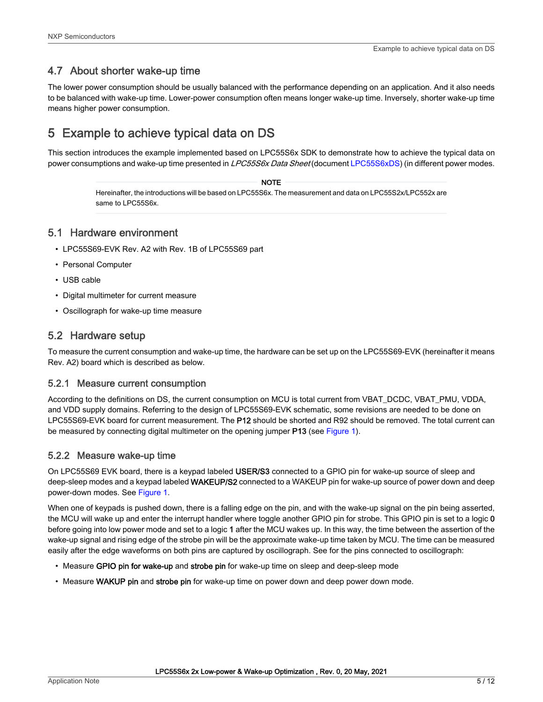### <span id="page-4-0"></span>4.7 About shorter wake-up time

The lower power consumption should be usually balanced with the performance depending on an application. And it also needs to be balanced with wake-up time. Lower-power consumption often means longer wake-up time. Inversely, shorter wake-up time means higher power consumption.

## 5 Example to achieve typical data on DS

This section introduces the example implemented based on LPC55S6x SDK to demonstrate how to achieve the typical data on power consumptions and wake-up time presented in LPC55S6x Data Sheet (document [LPC55S6xDS](https://www.nxp.com/docs/en/data-sheet/LPC55S6x.pdf)) (in different power modes.

#### **NOTE**

Hereinafter, the introductions will be based on LPC55S6x. The measurement and data on LPC55S2x/LPC552x are same to LPC55S6x.

### 5.1 Hardware environment

- LPC55S69-EVK Rev. A2 with Rev. 1B of LPC55S69 part
- Personal Computer
- USB cable
- Digital multimeter for current measure
- Oscillograph for wake-up time measure

### 5.2 Hardware setup

To measure the current consumption and wake-up time, the hardware can be set up on the LPC55S69-EVK (hereinafter it means Rev. A2) board which is described as below.

### 5.2.1 Measure current consumption

According to the definitions on DS, the current consumption on MCU is total current from VBAT\_DCDC, VBAT\_PMU, VDDA, and VDD supply domains. Referring to the design of LPC55S69-EVK schematic, some revisions are needed to be done on LPC55S69-EVK board for current measurement. The P12 should be shorted and R92 should be removed. The total current can be measured by connecting digital multimeter on the opening jumper **P13** (see [Figure 1](#page-5-0)).

### 5.2.2 Measure wake-up time

On LPC55S69 EVK board, there is a keypad labeled USER/S3 connected to a GPIO pin for wake-up source of sleep and deep-sleep modes and a keypad labeled WAKEUP/S2 connected to a WAKEUP pin for wake-up source of power down and deep power-down modes. See [Figure 1](#page-5-0).

When one of keypads is pushed down, there is a falling edge on the pin, and with the wake-up signal on the pin being asserted, the MCU will wake up and enter the interrupt handler where toggle another GPIO pin for strobe. This GPIO pin is set to a logic 0 before going into low power mode and set to a logic 1 after the MCU wakes up. In this way, the time between the assertion of the wake-up signal and rising edge of the strobe pin will be the approximate wake-up time taken by MCU. The time can be measured easily after the edge waveforms on both pins are captured by oscillograph. See for the pins connected to oscillograph:

- Measure GPIO pin for wake-up and strobe pin for wake-up time on sleep and deep-sleep mode
- Measure WAKUP pin and strobe pin for wake-up time on power down and deep power down mode.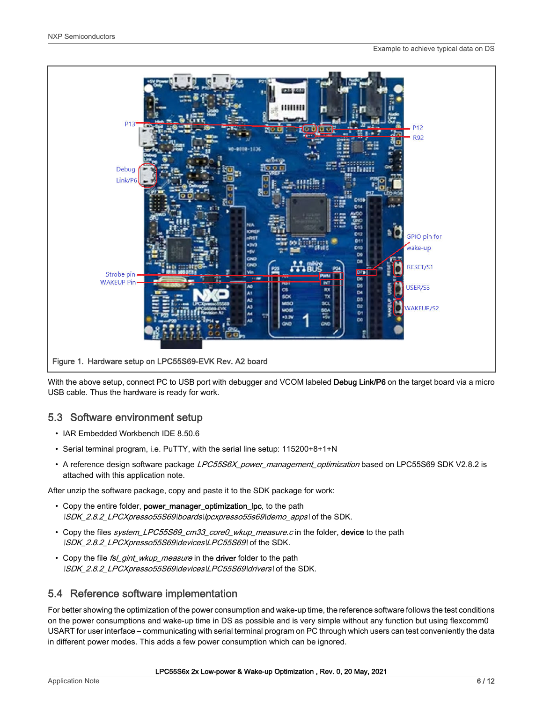<span id="page-5-0"></span>

With the above setup, connect PC to USB port with debugger and VCOM labeled Debug Link/P6 on the target board via a micro USB cable. Thus the hardware is ready for work.

### 5.3 Software environment setup

- IAR Embedded Workbench IDE 8.50.6
- Serial terminal program, i.e. PuTTY, with the serial line setup: 115200+8+1+N
- A reference design software package LPC55S6X power management optimization based on LPC55S69 SDK V2.8.2 is attached with this application note.

After unzip the software package, copy and paste it to the SDK package for work:

- Copy the entire folder, power\_manager\_optimization\_lpc, to the path ISDK\_2.8.2\_LPCXpresso55S69\boards\lpcxpresso55s69\demo\_apps\ of the SDK.
- Copy the files system\_LPC55S69\_cm33\_core0\_wkup\_measure.c in the folder, device to the path  $\overline{SDK_2.8.2}\_LPCX presso 55S69\ld{e}vices\text{LPC55S69}\$  of the SDK.
- Copy the file fsl\_gint\_wkup\_measure in the driver folder to the path ISDK\_2.8.2\_LPCXpresso55S69\devices\LPC55S69\drivers\ of the SDK.

### 5.4 Reference software implementation

For better showing the optimization of the power consumption and wake-up time, the reference software follows the test conditions on the power consumptions and wake-up time in DS as possible and is very simple without any function but using flexcomm0 USART for user interface – communicating with serial terminal program on PC through which users can test conveniently the data in different power modes. This adds a few power consumption which can be ignored.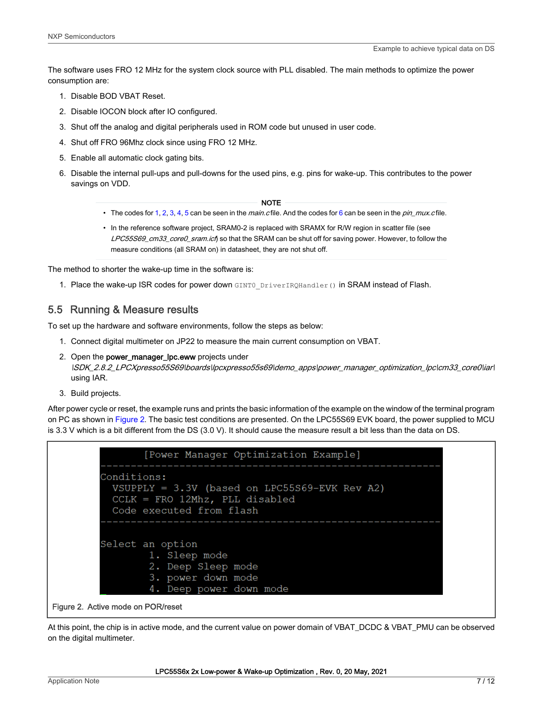<span id="page-6-0"></span>The software uses FRO 12 MHz for the system clock source with PLL disabled. The main methods to optimize the power consumption are:

- 1. Disable BOD VBAT Reset.
- 2. Disable IOCON block after IO configured.
- 3. Shut off the analog and digital peripherals used in ROM code but unused in user code.
- 4. Shut off FRO 96Mhz clock since using FRO 12 MHz.
- 5. Enable all automatic clock gating bits.
- 6. Disable the internal pull-ups and pull-downs for the used pins, e.g. pins for wake-up. This contributes to the power savings on VDD.

#### NOTE

- The codes for 1, 2, 3, 4, 5 can be seen in the *main.c* file. And the codes for 6 can be seen in the *pin mux.c* file.
- In the reference software project, SRAM0-2 is replaced with SRAMX for R/W region in scatter file (see LPC55S69\_cm33\_core0\_sram.ich so that the SRAM can be shut off for saving power. However, to follow the measure conditions (all SRAM on) in datasheet, they are not shut off.

The method to shorter the wake-up time in the software is:

1. Place the wake-up ISR codes for power down  $GINT0$   $Dirichlet(N)$  in SRAM instead of Flash.

### 5.5 Running & Measure results

To set up the hardware and software environments, follow the steps as below:

- 1. Connect digital multimeter on JP22 to measure the main current consumption on VBAT.
- 2. Open the power\_manager\_lpc.eww projects under \SDK\_2.8.2\_LPCXpresso55S69\boards\lpcxpresso55s69\demo\_apps\power\_manager\_optimization\_lpc\cm33\_core0\iar\ using IAR.
- 3. Build projects.

After power cycle or reset, the example runs and prints the basic information of the example on the window of the terminal program on PC as shown in Figure 2. The basic test conditions are presented. On the LPC55S69 EVK board, the power supplied to MCU is 3.3 V which is a bit different from the DS (3.0 V). It should cause the measure result a bit less than the data on DS.

| [Power Manager Optimization Example]                                                                                           |
|--------------------------------------------------------------------------------------------------------------------------------|
| Conditions:<br>$VSUPPLY = 3.3V$ (based on LPC55S69-EVK Rev A2)<br>$CCLK$ = FRO 12Mhz, PLL disabled<br>Code executed from flash |
| Select an option<br>1. Sleep mode<br>2. Deep Sleep mode<br>3. power down mode<br>4. Deep power down mode                       |
| Figure 2. Active mode on POR/reset                                                                                             |

At this point, the chip is in active mode, and the current value on power domain of VBAT\_DCDC & VBAT\_PMU can be observed on the digital multimeter.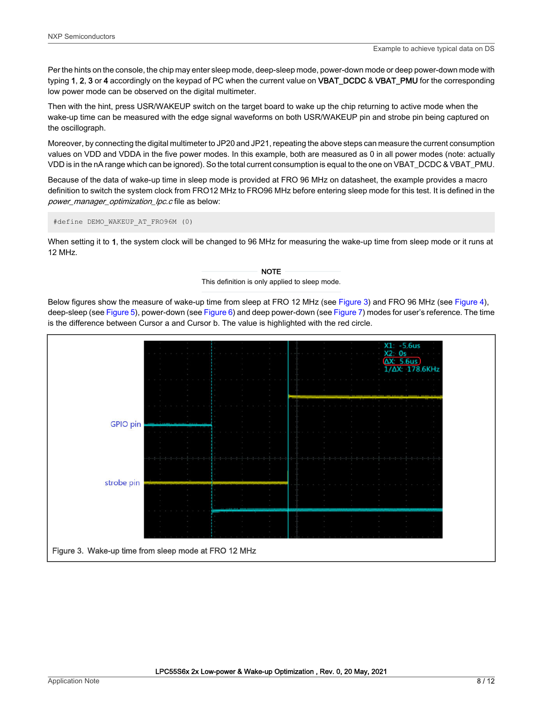Per the hints on the console, the chip may enter sleep mode, deep-sleep mode, power-down mode or deep power-down mode with typing 1, 2, 3 or 4 accordingly on the keypad of PC when the current value on VBAT\_DCDC & VBAT\_PMU for the corresponding low power mode can be observed on the digital multimeter.

Then with the hint, press USR/WAKEUP switch on the target board to wake up the chip returning to active mode when the wake-up time can be measured with the edge signal waveforms on both USR/WAKEUP pin and strobe pin being captured on the oscillograph.

Moreover, by connecting the digital multimeter to JP20 and JP21, repeating the above steps can measure the current consumption values on VDD and VDDA in the five power modes. In this example, both are measured as 0 in all power modes (note: actually VDD is in the nA range which can be ignored). So the total current consumption is equal to the one on VBAT\_DCDC & VBAT\_PMU.

Because of the data of wake-up time in sleep mode is provided at FRO 96 MHz on datasheet, the example provides a macro definition to switch the system clock from FRO12 MHz to FRO96 MHz before entering sleep mode for this test. It is defined in the power\_manager\_optimization\_lpc.c file as below:

#define DEMO\_WAKEUP\_AT\_FRO96M (0)

When setting it to 1, the system clock will be changed to 96 MHz for measuring the wake-up time from sleep mode or it runs at 12 MHz.

#### This definition is only applied to sleep mode. NOTE

Below figures show the measure of wake-up time from sleep at FRO 12 MHz (see Figure 3) and FRO 96 MHz (see [Figure 4](#page-8-0)), deep-sleep (see [Figure 5](#page-8-0)), power-down (see [Figure 6](#page-9-0)) and deep power-down (see [Figure 7\)](#page-9-0) modes for user's reference. The time is the difference between Cursor a and Cursor b. The value is highlighted with the red circle.

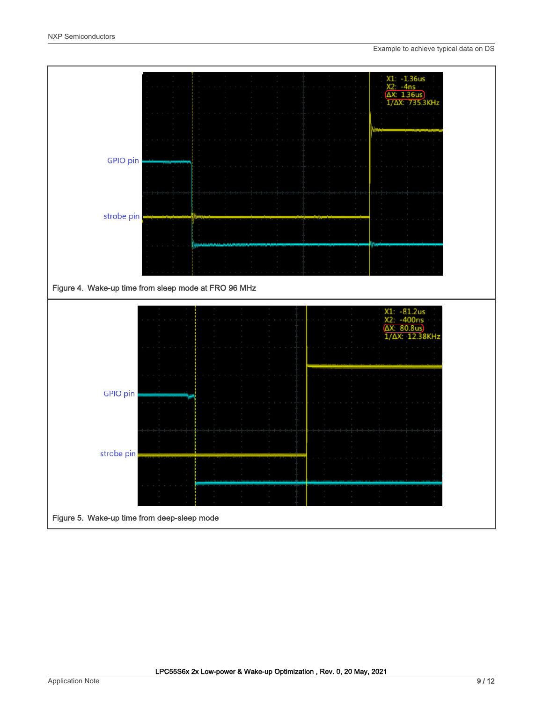<span id="page-8-0"></span>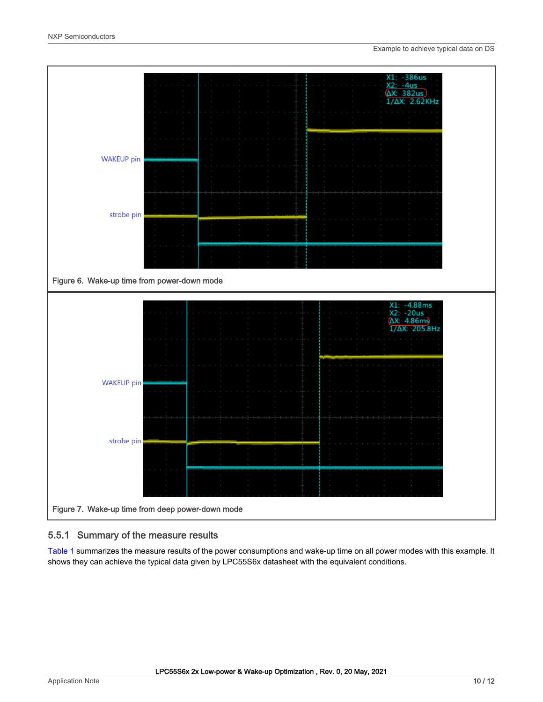<span id="page-9-0"></span>

### 5.5.1 Summary of the measure results

[Table 1](#page-10-0) summarizes the measure results of the power consumptions and wake-up time on all power modes with this example. It shows they can achieve the typical data given by LPC55S6x datasheet with the equivalent conditions.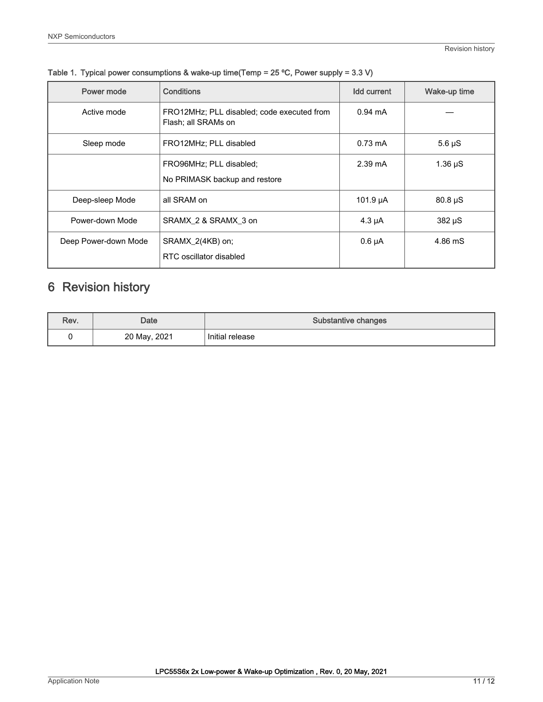| Power mode           | <b>Conditions</b>                                                 | <b>Idd current</b> | Wake-up time |
|----------------------|-------------------------------------------------------------------|--------------------|--------------|
| Active mode          | FRO12MHz; PLL disabled; code executed from<br>Flash; all SRAMs on | $0.94 \text{ mA}$  |              |
| Sleep mode           | FRO12MHz; PLL disabled                                            | $0.73 \text{ mA}$  | $5.6 \mu S$  |
|                      | FRO96MHz; PLL disabled;<br>No PRIMASK backup and restore          | $2.39 \text{ mA}$  | $1.36 \mu S$ |
| Deep-sleep Mode      | all SRAM on                                                       | 101.9 $\mu$ A      | $80.8 \mu S$ |
| Power-down Mode      | SRAMX 2 & SRAMX 3 on                                              | $4.3 \mu A$        | $382 \mu S$  |
| Deep Power-down Mode | SRAMX 2(4KB) on;<br>RTC oscillator disabled                       | $0.6 \mu A$        | 4.86 mS      |

<span id="page-10-0"></span>Table 1. Typical power consumptions & wake-up time(Temp = 25 ºC, Power supply = 3.3 V)

### 6 Revision history

| Rev. | <b>Date</b>  | Substantive changes |
|------|--------------|---------------------|
|      | 20 May, 2021 | Initial release     |